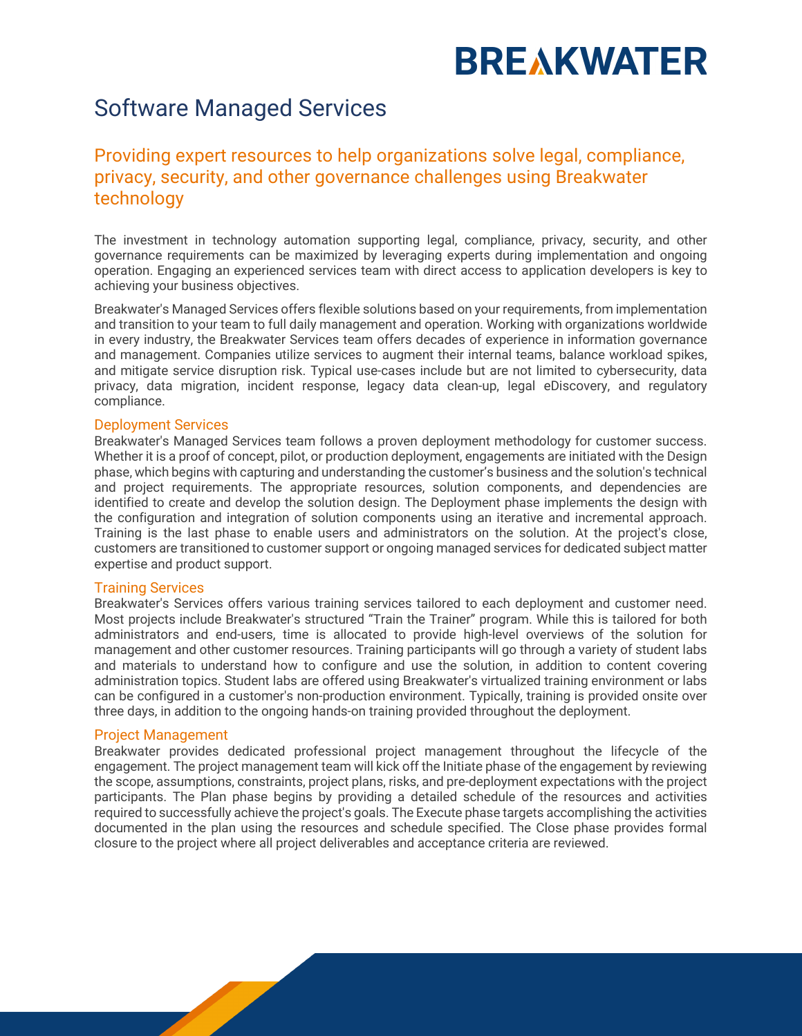# **BREAKWATER**

### Software Managed Services

### Providing expert resources to help organizations solve legal, compliance, privacy, security, and other governance challenges using Breakwater technology

The investment in technology automation supporting legal, compliance, privacy, security, and other governance requirements can be maximized by leveraging experts during implementation and ongoing operation. Engaging an experienced services team with direct access to application developers is key to achieving your business objectives.

Breakwater's Managed Services offers flexible solutions based on your requirements, from implementation and transition to your team to full daily management and operation. Working with organizations worldwide in every industry, the Breakwater Services team offers decades of experience in information governance and management. Companies utilize services to augment their internal teams, balance workload spikes, and mitigate service disruption risk. Typical use-cases include but are not limited to cybersecurity, data privacy, data migration, incident response, legacy data clean-up, legal eDiscovery, and regulatory compliance.

### Deployment Services

Breakwater's Managed Services team follows a proven deployment methodology for customer success. Whether it is a proof of concept, pilot, or production deployment, engagements are initiated with the Design phase, which begins with capturing and understanding the customer's business and the solution's technical and project requirements. The appropriate resources, solution components, and dependencies are identified to create and develop the solution design. The Deployment phase implements the design with the configuration and integration of solution components using an iterative and incremental approach. Training is the last phase to enable users and administrators on the solution. At the project's close, customers are transitioned to customer support or ongoing managed services for dedicated subject matter expertise and product support.

### Training Services

Breakwater's Services offers various training services tailored to each deployment and customer need. Most projects include Breakwater's structured "Train the Trainer" program. While this is tailored for both administrators and end-users, time is allocated to provide high-level overviews of the solution for management and other customer resources. Training participants will go through a variety of student labs and materials to understand how to configure and use the solution, in addition to content covering administration topics. Student labs are offered using Breakwater's virtualized training environment or labs can be configured in a customer's non-production environment. Typically, training is provided onsite over three days, in addition to the ongoing hands-on training provided throughout the deployment.

### Project Management

Breakwater provides dedicated professional project management throughout the lifecycle of the engagement. The project management team will kick off the Initiate phase of the engagement by reviewing the scope, assumptions, constraints, project plans, risks, and pre-deployment expectations with the project participants. The Plan phase begins by providing a detailed schedule of the resources and activities required to successfully achieve the project's goals. The Execute phase targets accomplishing the activities documented in the plan using the resources and schedule specified. The Close phase provides formal closure to the project where all project deliverables and acceptance criteria are reviewed.